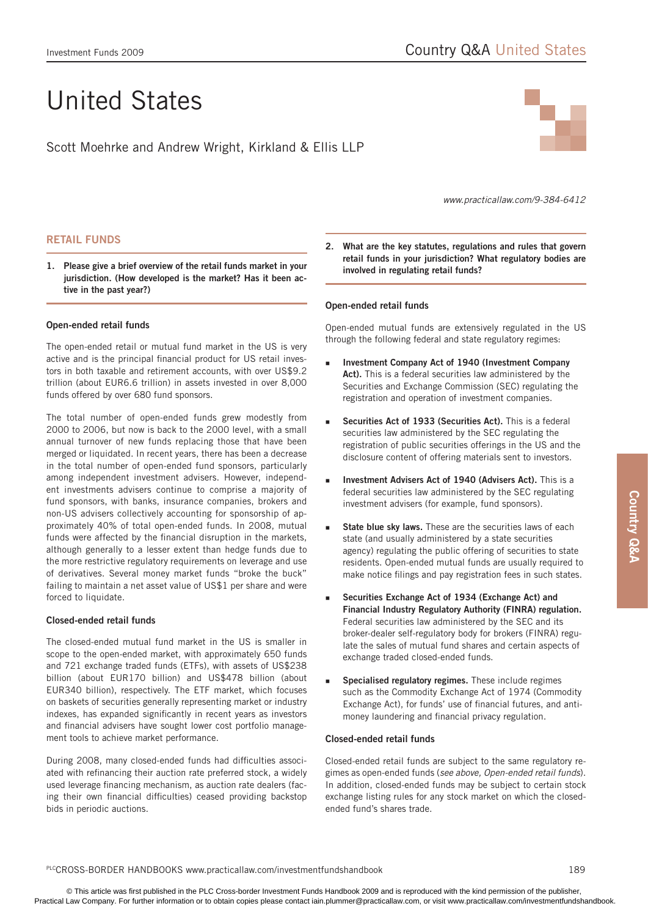# United States

Scott Moehrke and Andrew Wright, Kirkland & Ellis LLP



*www.practicallaw.com/9-384-6412*

# **Retail funds**

**1. Please give a brief overview of the retail funds market in your jurisdiction. (How developed is the market? Has it been active in the past year?)**

# **Open-ended retail funds**

The open-ended retail or mutual fund market in the US is very active and is the principal financial product for US retail investors in both taxable and retirement accounts, with over US\$9.2 trillion (about EUR6.6 trillion) in assets invested in over 8,000 funds offered by over 680 fund sponsors.

The total number of open-ended funds grew modestly from 2000 to 2006, but now is back to the 2000 level, with a small annual turnover of new funds replacing those that have been merged or liquidated. In recent years, there has been a decrease in the total number of open-ended fund sponsors, particularly among independent investment advisers. However, independent investments advisers continue to comprise a majority of fund sponsors, with banks, insurance companies, brokers and non-US advisers collectively accounting for sponsorship of approximately 40% of total open-ended funds. In 2008, mutual funds were affected by the financial disruption in the markets, although generally to a lesser extent than hedge funds due to the more restrictive regulatory requirements on leverage and use of derivatives. Several money market funds "broke the buck" failing to maintain a net asset value of US\$1 per share and were forced to liquidate.

# **Closed-ended retail funds**

The closed-ended mutual fund market in the US is smaller in scope to the open-ended market, with approximately 650 funds and 721 exchange traded funds (ETFs), with assets of US\$238 billion (about EUR170 billion) and US\$478 billion (about EUR340 billion), respectively. The ETF market, which focuses on baskets of securities generally representing market or industry indexes, has expanded significantly in recent years as investors and financial advisers have sought lower cost portfolio management tools to achieve market performance.

During 2008, many closed-ended funds had difficulties associated with refinancing their auction rate preferred stock, a widely used leverage financing mechanism, as auction rate dealers (facing their own financial difficulties) ceased providing backstop bids in periodic auctions.

**2. What are the key statutes, regulations and rules that govern retail funds in your jurisdiction? What regulatory bodies are involved in regulating retail funds?**

# **Open-ended retail funds**

Open-ended mutual funds are extensively regulated in the US through the following federal and state regulatory regimes:

- **Investment Company Act of 1940 (Investment Company Act).** This is a federal securities law administered by the Securities and Exchange Commission (SEC) regulating the registration and operation of investment companies. F
- **Securities Act of 1933 (Securities Act).** This is a federal securities law administered by the SEC regulating the registration of public securities offerings in the US and the disclosure content of offering materials sent to investors. F
- **Investment Advisers Act of 1940 (Advisers Act).** This is a federal securities law administered by the SEC regulating investment advisers (for example, fund sponsors). F
- **State blue sky laws.** These are the securities laws of each state (and usually administered by a state securities agency) regulating the public offering of securities to state residents. Open-ended mutual funds are usually required to make notice filings and pay registration fees in such states. ۹
- **Securities Exchange Act of 1934 (Exchange Act) and Financial Industry Regulatory Authority (FINRA) regulation.** Federal securities law administered by the SEC and its broker-dealer self-regulatory body for brokers (FINRA) regulate the sales of mutual fund shares and certain aspects of exchange traded closed-ended funds. F
- **Specialised regulatory regimes.** These include regimes such as the Commodity Exchange Act of 1974 (Commodity Exchange Act), for funds' use of financial futures, and antimoney laundering and financial privacy regulation. ۹

### **Closed-ended retail funds**

Closed-ended retail funds are subject to the same regulatory regimes as open-ended funds (*see above, Open-ended retail funds*). In addition, closed-ended funds may be subject to certain stock exchange listing rules for any stock market on which the closedended fund's shares trade.

#### PLCCROSS-BORDER HANDBOOKS www.practicallaw.com/investmentfundshandbook 189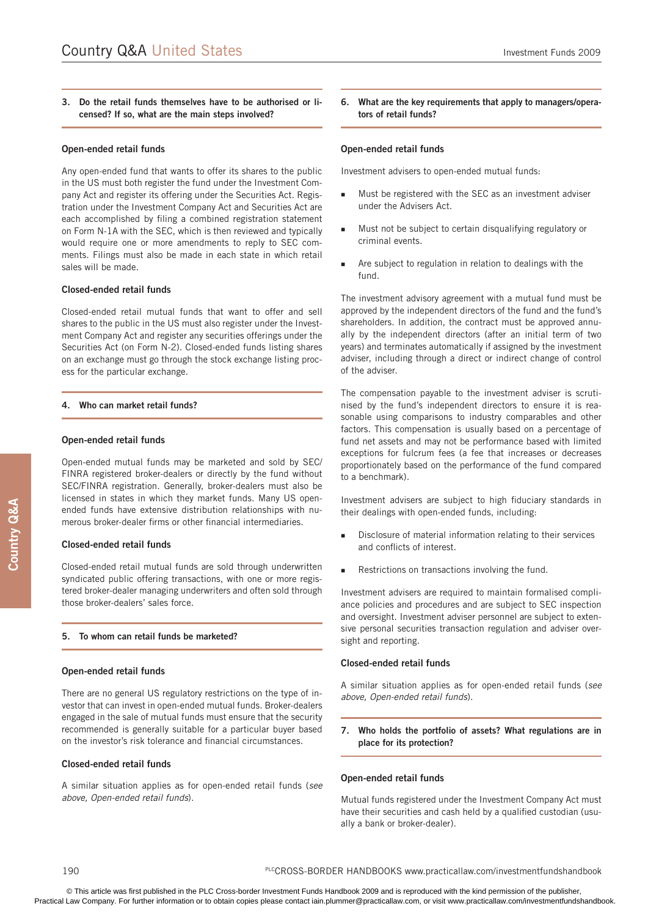# **3. Do the retail funds themselves have to be authorised or licensed? If so, what are the main steps involved?**

#### **Open-ended retail funds**

Any open-ended fund that wants to offer its shares to the public in the US must both register the fund under the Investment Company Act and register its offering under the Securities Act. Registration under the Investment Company Act and Securities Act are each accomplished by filing a combined registration statement on Form N-1A with the SEC, which is then reviewed and typically would require one or more amendments to reply to SEC comments. Filings must also be made in each state in which retail sales will be made.

#### **Closed-ended retail funds**

Closed-ended retail mutual funds that want to offer and sell shares to the public in the US must also register under the Investment Company Act and register any securities offerings under the Securities Act (on Form N-2). Closed-ended funds listing shares on an exchange must go through the stock exchange listing process for the particular exchange.

#### **4. Who can market retail funds?**

#### **Open-ended retail funds**

Open-ended mutual funds may be marketed and sold by SEC/ FINRA registered broker-dealers or directly by the fund without SEC/FINRA registration. Generally, broker-dealers must also be licensed in states in which they market funds. Many US openended funds have extensive distribution relationships with numerous broker-dealer firms or other financial intermediaries.

#### **Closed-ended retail funds**

Closed-ended retail mutual funds are sold through underwritten syndicated public offering transactions, with one or more registered broker-dealer managing underwriters and often sold through those broker-dealers' sales force.

#### **5. To whom can retail funds be marketed?**

#### **Open-ended retail funds**

There are no general US regulatory restrictions on the type of investor that can invest in open-ended mutual funds. Broker-dealers engaged in the sale of mutual funds must ensure that the security recommended is generally suitable for a particular buyer based on the investor's risk tolerance and financial circumstances.

#### **Closed-ended retail funds**

A similar situation applies as for open-ended retail funds (*see above, Open-ended retail funds*).

**6. What are the key requirements that apply to managers/operators of retail funds?**

#### **Open-ended retail funds**

Investment advisers to open-ended mutual funds:

- Must be registered with the SEC as an investment adviser under the Advisers Act. Ξ
- Must not be subject to certain disqualifying regulatory or criminal events. Ξ
- Are subject to regulation in relation to dealings with the fund. ٠

The investment advisory agreement with a mutual fund must be approved by the independent directors of the fund and the fund's shareholders. In addition, the contract must be approved annually by the independent directors (after an initial term of two years) and terminates automatically if assigned by the investment adviser, including through a direct or indirect change of control of the adviser.

The compensation payable to the investment adviser is scrutinised by the fund's independent directors to ensure it is reasonable using comparisons to industry comparables and other factors. This compensation is usually based on a percentage of fund net assets and may not be performance based with limited exceptions for fulcrum fees (a fee that increases or decreases proportionately based on the performance of the fund compared to a benchmark).

Investment advisers are subject to high fiduciary standards in their dealings with open-ended funds, including:

- Disclosure of material information relating to their services and conflicts of interest. Ξ
- Restrictions on transactions involving the fund.  $\blacksquare$

Investment advisers are required to maintain formalised compliance policies and procedures and are subject to SEC inspection and oversight. Investment adviser personnel are subject to extensive personal securities transaction regulation and adviser oversight and reporting.

#### **Closed-ended retail funds**

A similar situation applies as for open-ended retail funds (*see above, Open-ended retail funds*).

**7. Who holds the portfolio of assets? What regulations are in place for its protection?**

#### **Open-ended retail funds**

Mutual funds registered under the Investment Company Act must have their securities and cash held by a qualified custodian (usually a bank or broker-dealer).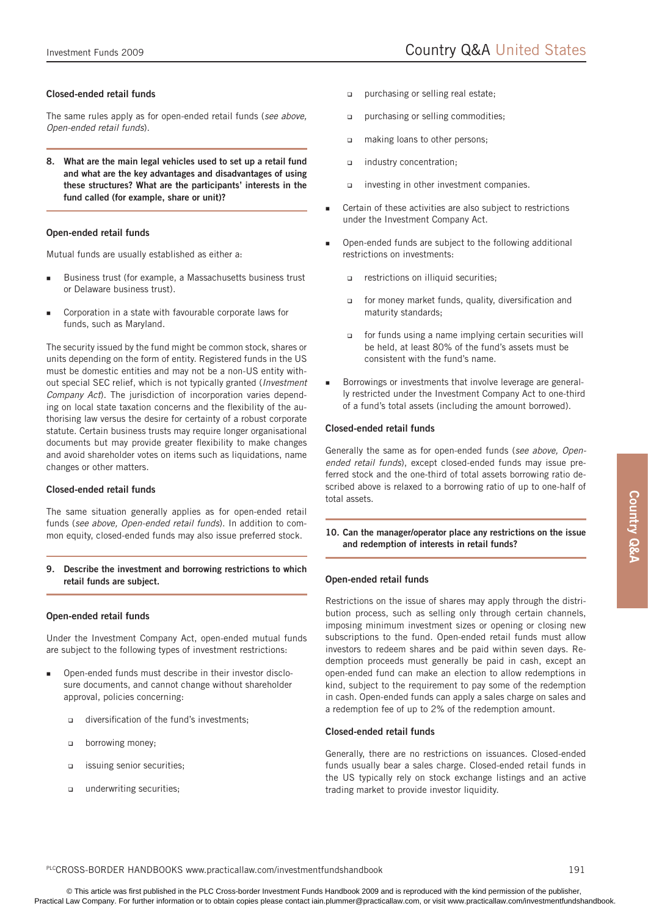# **Closed-ended retail funds**

The same rules apply as for open-ended retail funds (*see above, Open-ended retail funds*).

**8. What are the main legal vehicles used to set up a retail fund and what are the key advantages and disadvantages of using these structures? What are the participants' interests in the fund called (for example, share or unit)?**

# **Open-ended retail funds**

Mutual funds are usually established as either a:

- Business trust (for example, a Massachusetts business trust or Delaware business trust). Ξ
- Corporation in a state with favourable corporate laws for funds, such as Maryland. п

The security issued by the fund might be common stock, shares or units depending on the form of entity. Registered funds in the US must be domestic entities and may not be a non-US entity without special SEC relief, which is not typically granted (*Investment Company Act*). The jurisdiction of incorporation varies depending on local state taxation concerns and the flexibility of the authorising law versus the desire for certainty of a robust corporate statute. Certain business trusts may require longer organisational documents but may provide greater flexibility to make changes and avoid shareholder votes on items such as liquidations, name changes or other matters.

#### **Closed-ended retail funds**

The same situation generally applies as for open-ended retail funds (*see above, Open-ended retail funds*). In addition to common equity, closed-ended funds may also issue preferred stock.

**9. Describe the investment and borrowing restrictions to which retail funds are subject.**

#### **Open-ended retail funds**

Under the Investment Company Act, open-ended mutual funds are subject to the following types of investment restrictions:

- Open-ended funds must describe in their investor disclosure documents, and cannot change without shareholder approval, policies concerning: Ξ
	- diversification of the fund's investments; ❏
	- borrowing money;  $\Box$
	- issuing senior securities;  $\Box$
	- underwriting securities;  $\Box$
- purchasing or selling real estate;  $\Box$
- purchasing or selling commodities;  $\overline{a}$
- making loans to other persons;  $\Box$
- industry concentration;  $\Box$
- investing in other investment companies.  $\Box$
- Certain of these activities are also subject to restrictions under the Investment Company Act. ۹
- Open-ended funds are subject to the following additional restrictions on investments: ۹
	- restrictions on illiquid securities;  $\Box$
	- for money market funds, quality, diversification and maturity standards;  $\Box$
	- for funds using a name implying certain securities will be held, at least 80% of the fund's assets must be consistent with the fund's name.  $\Box$
- Borrowings or investments that involve leverage are generally restricted under the Investment Company Act to one-third of a fund's total assets (including the amount borrowed). Е

# **Closed-ended retail funds**

Generally the same as for open-ended funds (*see above, Openended retail funds*), except closed-ended funds may issue preferred stock and the one-third of total assets borrowing ratio described above is relaxed to a borrowing ratio of up to one-half of total assets.

# **10. Can the manager/operator place any restrictions on the issue and redemption of interests in retail funds?**

# **Open-ended retail funds**

Restrictions on the issue of shares may apply through the distribution process, such as selling only through certain channels, imposing minimum investment sizes or opening or closing new subscriptions to the fund. Open-ended retail funds must allow investors to redeem shares and be paid within seven days. Redemption proceeds must generally be paid in cash, except an open-ended fund can make an election to allow redemptions in kind, subject to the requirement to pay some of the redemption in cash. Open-ended funds can apply a sales charge on sales and a redemption fee of up to 2% of the redemption amount.

# **Closed-ended retail funds**

Generally, there are no restrictions on issuances. Closed-ended funds usually bear a sales charge. Closed-ended retail funds in the US typically rely on stock exchange listings and an active trading market to provide investor liquidity.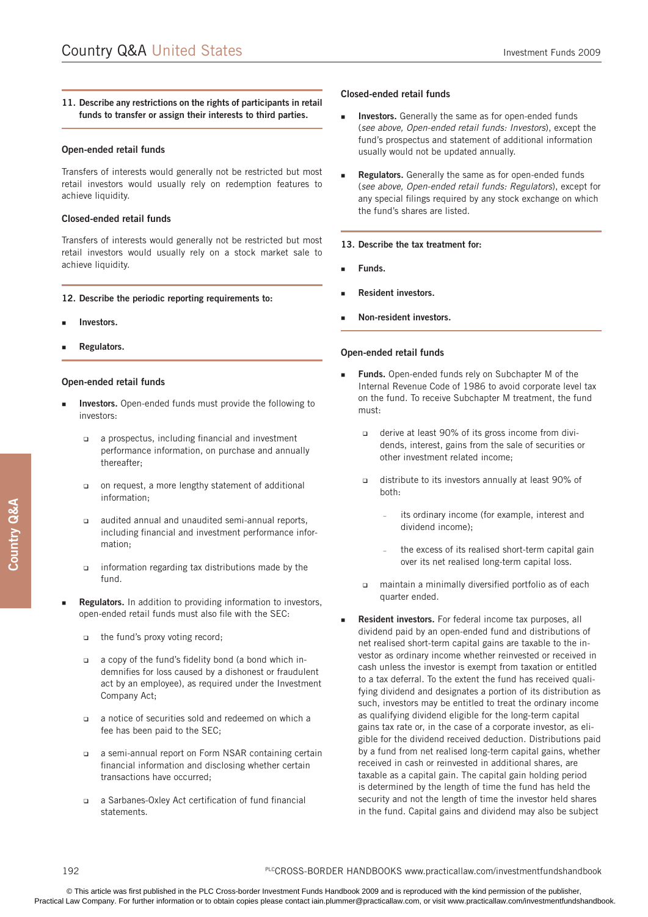# **11. Describe any restrictions on the rights of participants in retail funds to transfer or assign their interests to third parties.**

#### **Open-ended retail funds**

Transfers of interests would generally not be restricted but most retail investors would usually rely on redemption features to achieve liquidity.

#### **Closed-ended retail funds**

Transfers of interests would generally not be restricted but most retail investors would usually rely on a stock market sale to achieve liquidity.

#### **12. Describe the periodic reporting requirements to:**

- **Investors.**  п
- **Regulators.** E

#### **Open-ended retail funds**

- **Investors.** Open-ended funds must provide the following to investors: п
	- a prospectus, including financial and investment performance information, on purchase and annually thereafter;  $\Box$
	- on request, a more lengthy statement of additional information; о
	- audited annual and unaudited semi-annual reports, including financial and investment performance information;  $\Box$
	- information regarding tax distributions made by the fund.  $\Box$
- **Regulators.** In addition to providing information to investors, open-ended retail funds must also file with the SEC:
	- the fund's proxy voting record;
	- a copy of the fund's fidelity bond (a bond which indemnifies for loss caused by a dishonest or fraudulent act by an employee), as required under the Investment Company Act;  $\Box$
	- a notice of securities sold and redeemed on which a fee has been paid to the SEC;
	- a semi-annual report on Form NSAR containing certain financial information and disclosing whether certain transactions have occurred;  $\Box$
	- a Sarbanes-Oxley Act certification of fund financial statements. ❏

# **Closed-ended retail funds**

- **Investors.** Generally the same as for open-ended funds (*see above, Open-ended retail funds: Investors*), except the fund's prospectus and statement of additional information usually would not be updated annually. ×
- **Regulators.** Generally the same as for open-ended funds (*see above, Open-ended retail funds: Regulators*), except for any special filings required by any stock exchange on which the fund's shares are listed. Ξ

#### **13. Describe the tax treatment for:**

- **Funds.** Ξ
- **Resident investors.** Е
- **Non-resident investors.** Ξ

# **Open-ended retail funds**

- **Funds.** Open-ended funds rely on Subchapter M of the Internal Revenue Code of 1986 to avoid corporate level tax on the fund. To receive Subchapter M treatment, the fund must: i.
	- o derive at least 90% of its gross income from dividends, interest, gains from the sale of securities or other investment related income;
	- distribute to its investors annually at least 90% of both:  $\Box$ 
		- its ordinary income (for example, interest and dividend income); –
		- the excess of its realised short-term capital gain over its net realised long-term capital loss. –
	- maintain a minimally diversified portfolio as of each quarter ended.  $\Box$
- **Resident investors.** For federal income tax purposes, all dividend paid by an open-ended fund and distributions of net realised short-term capital gains are taxable to the investor as ordinary income whether reinvested or received in cash unless the investor is exempt from taxation or entitled to a tax deferral. To the extent the fund has received qualifying dividend and designates a portion of its distribution as such, investors may be entitled to treat the ordinary income as qualifying dividend eligible for the long-term capital gains tax rate or, in the case of a corporate investor, as eligible for the dividend received deduction. Distributions paid by a fund from net realised long-term capital gains, whether received in cash or reinvested in additional shares, are taxable as a capital gain. The capital gain holding period is determined by the length of time the fund has held the security and not the length of time the investor held shares in the fund. Capital gains and dividend may also be subject Ξ

E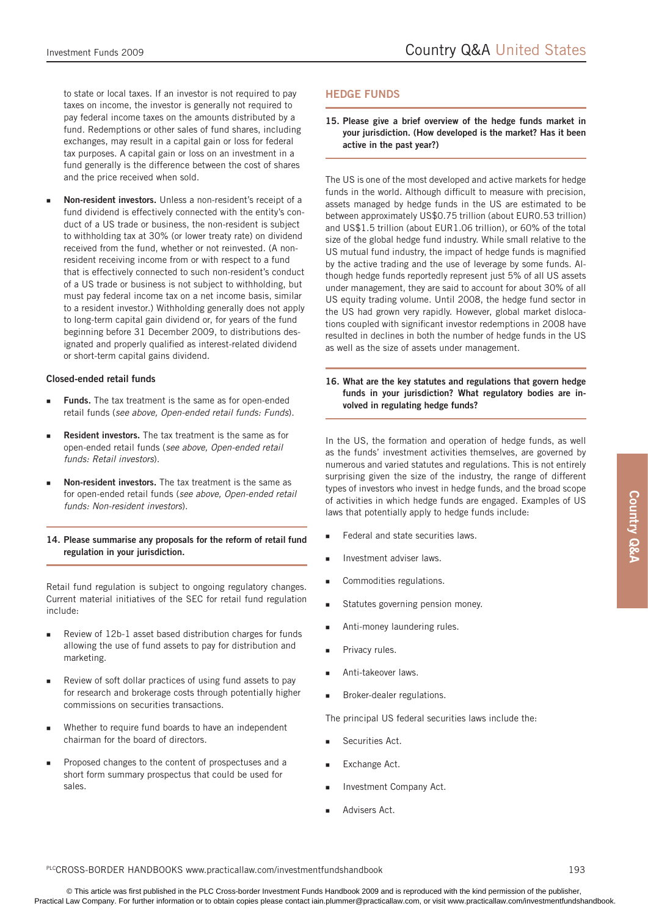to state or local taxes. If an investor is not required to pay taxes on income, the investor is generally not required to pay federal income taxes on the amounts distributed by a fund. Redemptions or other sales of fund shares, including exchanges, may result in a capital gain or loss for federal tax purposes. A capital gain or loss on an investment in a fund generally is the difference between the cost of shares and the price received when sold.

**Non-resident investors.** Unless a non-resident's receipt of a fund dividend is effectively connected with the entity's conduct of a US trade or business, the non-resident is subject to withholding tax at 30% (or lower treaty rate) on dividend received from the fund, whether or not reinvested. (A nonresident receiving income from or with respect to a fund that is effectively connected to such non-resident's conduct of a US trade or business is not subject to withholding, but must pay federal income tax on a net income basis, similar to a resident investor.) Withholding generally does not apply to long-term capital gain dividend or, for years of the fund beginning before 31 December 2009, to distributions designated and properly qualified as interest-related dividend or short-term capital gains dividend. Ξ

# **Closed-ended retail funds**

- **Funds.** The tax treatment is the same as for open-ended retail funds (*see above, Open-ended retail funds: Funds*). Ξ
- **Resident investors.** The tax treatment is the same as for open-ended retail funds (*see above, Open-ended retail funds: Retail investors*).  $\blacksquare$
- **Non-resident investors.** The tax treatment is the same as for open-ended retail funds (*see above, Open-ended retail funds: Non-resident investors*). Ξ
- **14. Please summarise any proposals for the reform of retail fund regulation in your jurisdiction.**

Retail fund regulation is subject to ongoing regulatory changes. Current material initiatives of the SEC for retail fund regulation include:

- Review of 12b-1 asset based distribution charges for funds allowing the use of fund assets to pay for distribution and marketing. Ľ
- Review of soft dollar practices of using fund assets to pay for research and brokerage costs through potentially higher commissions on securities transactions. Ξ
- Whether to require fund boards to have an independent chairman for the board of directors. п
- Proposed changes to the content of prospectuses and a short form summary prospectus that could be used for sales. Ξ

# **Hedge funds**

**15. Please give a brief overview of the hedge funds market in your jurisdiction. (How developed is the market? Has it been active in the past year?)**

The US is one of the most developed and active markets for hedge funds in the world. Although difficult to measure with precision, assets managed by hedge funds in the US are estimated to be between approximately US\$0.75 trillion (about EUR0.53 trillion) and US\$1.5 trillion (about EUR1.06 trillion), or 60% of the total size of the global hedge fund industry. While small relative to the US mutual fund industry, the impact of hedge funds is magnified by the active trading and the use of leverage by some funds. Although hedge funds reportedly represent just 5% of all US assets under management, they are said to account for about 30% of all US equity trading volume. Until 2008, the hedge fund sector in the US had grown very rapidly. However, global market dislocations coupled with significant investor redemptions in 2008 have resulted in declines in both the number of hedge funds in the US as well as the size of assets under management.

# **16. What are the key statutes and regulations that govern hedge funds in your jurisdiction? What regulatory bodies are involved in regulating hedge funds?**

In the US, the formation and operation of hedge funds, as well as the funds' investment activities themselves, are governed by numerous and varied statutes and regulations. This is not entirely surprising given the size of the industry, the range of different types of investors who invest in hedge funds, and the broad scope of activities in which hedge funds are engaged. Examples of US laws that potentially apply to hedge funds include:

- Federal and state securities laws. ۹
- Investment adviser laws. ۹
- Commodities regulations. ۹
- Statutes governing pension money. ۹
- Anti-money laundering rules. ۹
- Privacy rules. ۹
- Anti-takeover laws. ۹
- Broker-dealer regulations. ۹

The principal US federal securities laws include the:

- Securities Act. ۹
- Exchange Act. ۹
- Investment Company Act. F
- Advisers Act. F

#### PLCCROSS-BORDER HANDBOOKS www.practicallaw.com/investmentfundshandbook 193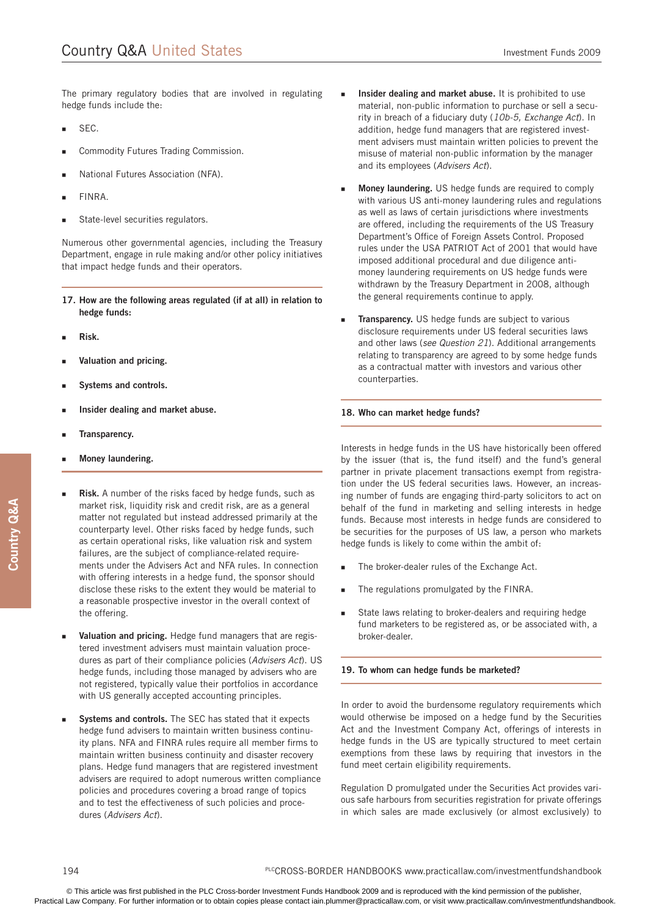The primary regulatory bodies that are involved in regulating hedge funds include the:

- SEC. Ξ
- Commodity Futures Trading Commission. Ξ
- National Futures Association (NFA). Ξ
- FINRA. Ξ
- State-level securities regulators. Ξ

Numerous other governmental agencies, including the Treasury Department, engage in rule making and/or other policy initiatives that impact hedge funds and their operators.

- **17. How are the following areas regulated (if at all) in relation to hedge funds:**
- **Risk.** E
- **Valuation and pricing.**  Ξ
- **Systems and controls.** E
- **Insider dealing and market abuse.** Ξ
- **Transparency.**  п
- **Money laundering.** Ξ
- **Risk.** A number of the risks faced by hedge funds, such as market risk, liquidity risk and credit risk, are as a general matter not regulated but instead addressed primarily at the counterparty level. Other risks faced by hedge funds, such as certain operational risks, like valuation risk and system failures, are the subject of compliance-related requirements under the Advisers Act and NFA rules. In connection with offering interests in a hedge fund, the sponsor should disclose these risks to the extent they would be material to a reasonable prospective investor in the overall context of the offering. E
- **Valuation and pricing.** Hedge fund managers that are registered investment advisers must maintain valuation procedures as part of their compliance policies (*Advisers Act*). US hedge funds, including those managed by advisers who are not registered, typically value their portfolios in accordance with US generally accepted accounting principles. п
- **Systems and controls.** The SEC has stated that it expects hedge fund advisers to maintain written business continuity plans. NFA and FINRA rules require all member firms to maintain written business continuity and disaster recovery plans. Hedge fund managers that are registered investment advisers are required to adopt numerous written compliance policies and procedures covering a broad range of topics and to test the effectiveness of such policies and procedures (*Advisers Act*). E
- **Insider dealing and market abuse.** It is prohibited to use material, non-public information to purchase or sell a security in breach of a fiduciary duty (*10b-5, Exchange Act*). In addition, hedge fund managers that are registered investment advisers must maintain written policies to prevent the misuse of material non-public information by the manager and its employees (*Advisers Act*). Е
- **Money laundering.** US hedge funds are required to comply with various US anti-money laundering rules and regulations as well as laws of certain jurisdictions where investments are offered, including the requirements of the US Treasury Department's Office of Foreign Assets Control. Proposed rules under the USA PATRIOT Act of 2001 that would have imposed additional procedural and due diligence antimoney laundering requirements on US hedge funds were withdrawn by the Treasury Department in 2008, although the general requirements continue to apply. Е
- **Transparency.** US hedge funds are subject to various disclosure requirements under US federal securities laws and other laws (*see Question 21*). Additional arrangements relating to transparency are agreed to by some hedge funds as a contractual matter with investors and various other counterparties. Е

#### **18. Who can market hedge funds?**

Interests in hedge funds in the US have historically been offered by the issuer (that is, the fund itself) and the fund's general partner in private placement transactions exempt from registration under the US federal securities laws. However, an increasing number of funds are engaging third-party solicitors to act on behalf of the fund in marketing and selling interests in hedge funds. Because most interests in hedge funds are considered to be securities for the purposes of US law, a person who markets hedge funds is likely to come within the ambit of:

- The broker-dealer rules of the Exchange Act. Е
- The regulations promulgated by the FINRA. Е
- State laws relating to broker-dealers and requiring hedge fund marketers to be registered as, or be associated with, a broker-dealer. ×.

# **19. To whom can hedge funds be marketed?**

In order to avoid the burdensome regulatory requirements which would otherwise be imposed on a hedge fund by the Securities Act and the Investment Company Act, offerings of interests in hedge funds in the US are typically structured to meet certain exemptions from these laws by requiring that investors in the fund meet certain eligibility requirements.

Regulation D promulgated under the Securities Act provides various safe harbours from securities registration for private offerings in which sales are made exclusively (or almost exclusively) to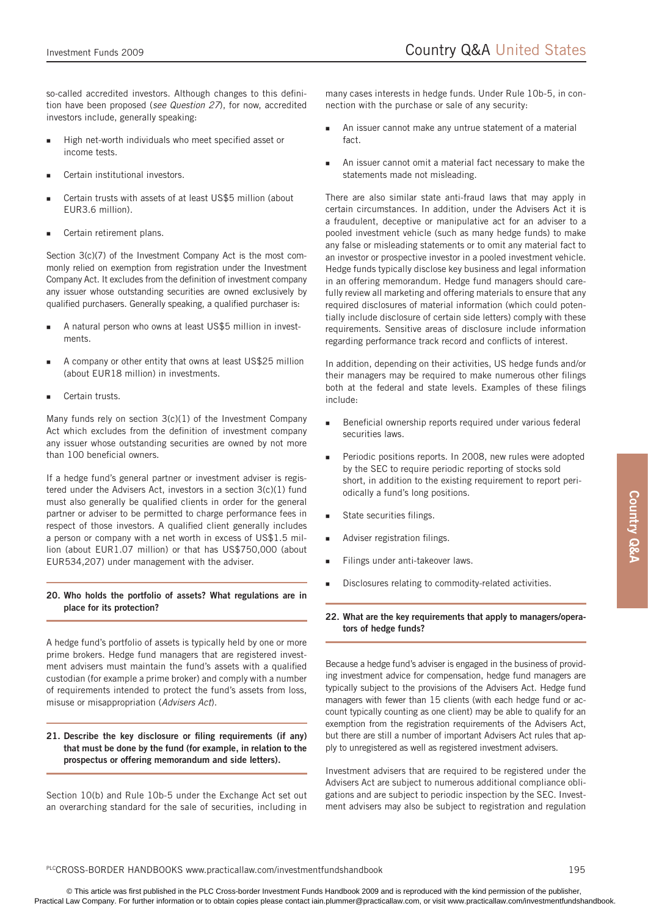so-called accredited investors. Although changes to this definition have been proposed (*see Question 27*), for now, accredited investors include, generally speaking:

- High net-worth individuals who meet specified asset or income tests. ×
- Certain institutional investors. Ξ
- Certain trusts with assets of at least US\$5 million (about EUR3.6 million). Ξ
- Certain retirement plans. Ξ

Section 3(c)(7) of the Investment Company Act is the most commonly relied on exemption from registration under the Investment Company Act. It excludes from the definition of investment company any issuer whose outstanding securities are owned exclusively by qualified purchasers. Generally speaking, a qualified purchaser is:

- A natural person who owns at least US\$5 million in investments. п
- A company or other entity that owns at least US\$25 million (about EUR18 million) in investments.  $\blacksquare$
- Certain trusts. Ξ

Many funds rely on section 3(c)(1) of the Investment Company Act which excludes from the definition of investment company any issuer whose outstanding securities are owned by not more than 100 beneficial owners.

If a hedge fund's general partner or investment adviser is registered under the Advisers Act, investors in a section 3(c)(1) fund must also generally be qualified clients in order for the general partner or adviser to be permitted to charge performance fees in respect of those investors. A qualified client generally includes a person or company with a net worth in excess of US\$1.5 million (about EUR1.07 million) or that has US\$750,000 (about EUR534,207) under management with the adviser.

# **20. Who holds the portfolio of assets? What regulations are in place for its protection?**

A hedge fund's portfolio of assets is typically held by one or more prime brokers. Hedge fund managers that are registered investment advisers must maintain the fund's assets with a qualified custodian (for example a prime broker) and comply with a number of requirements intended to protect the fund's assets from loss, misuse or misappropriation (*Advisers Act*).

# **21. Describe the key disclosure or filing requirements (if any) that must be done by the fund (for example, in relation to the prospectus or offering memorandum and side letters).**

Section 10(b) and Rule 10b-5 under the Exchange Act set out an overarching standard for the sale of securities, including in

many cases interests in hedge funds. Under Rule 10b-5, in connection with the purchase or sale of any security:

- An issuer cannot make any untrue statement of a material fact. Е
- An issuer cannot omit a material fact necessary to make the statements made not misleading. ۹

There are also similar state anti-fraud laws that may apply in certain circumstances. In addition, under the Advisers Act it is a fraudulent, deceptive or manipulative act for an adviser to a pooled investment vehicle (such as many hedge funds) to make any false or misleading statements or to omit any material fact to an investor or prospective investor in a pooled investment vehicle. Hedge funds typically disclose key business and legal information in an offering memorandum. Hedge fund managers should carefully review all marketing and offering materials to ensure that any required disclosures of material information (which could potentially include disclosure of certain side letters) comply with these requirements. Sensitive areas of disclosure include information regarding performance track record and conflicts of interest.

In addition, depending on their activities, US hedge funds and/or their managers may be required to make numerous other filings both at the federal and state levels. Examples of these filings include:

- Beneficial ownership reports required under various federal securities laws. ۹
- Periodic positions reports. In 2008, new rules were adopted by the SEC to require periodic reporting of stocks sold short, in addition to the existing requirement to report periodically a fund's long positions. ۹
- State securities filings. F
- Adviser registration filings. Е
- Filings under anti-takeover laws. ۹
- Disclosures relating to commodity-related activities. Е
- **22. What are the key requirements that apply to managers/operators of hedge funds?**

Because a hedge fund's adviser is engaged in the business of providing investment advice for compensation, hedge fund managers are typically subject to the provisions of the Advisers Act. Hedge fund managers with fewer than 15 clients (with each hedge fund or account typically counting as one client) may be able to qualify for an exemption from the registration requirements of the Advisers Act, but there are still a number of important Advisers Act rules that apply to unregistered as well as registered investment advisers.

Investment advisers that are required to be registered under the Advisers Act are subject to numerous additional compliance obligations and are subject to periodic inspection by the SEC. Investment advisers may also be subject to registration and regulation

#### PLCCROSS-BORDER HANDBOOKS www.practicallaw.com/investmentfundshandbook 195

**Country Q&A**

Country Q&A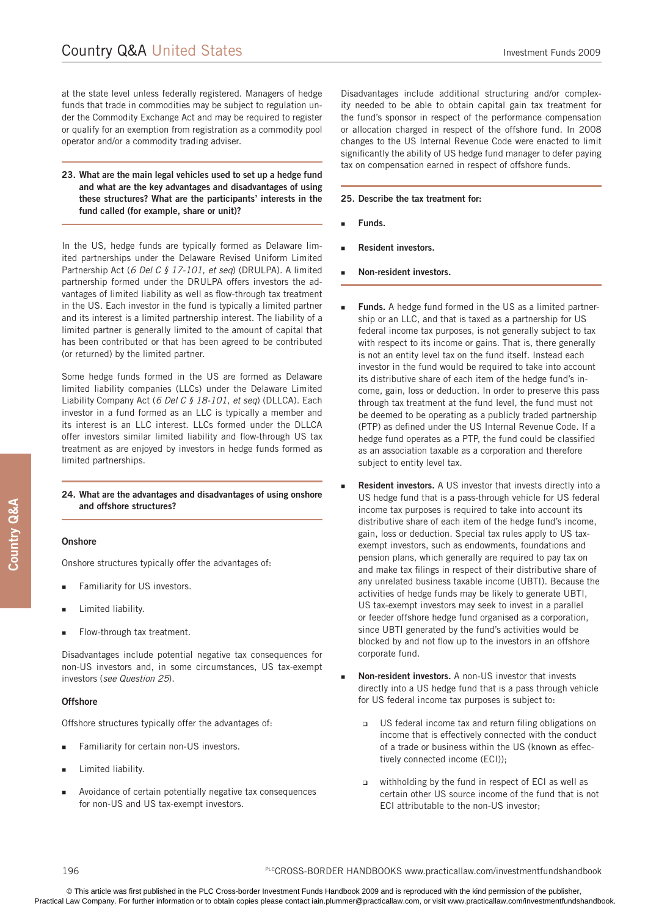at the state level unless federally registered. Managers of hedge funds that trade in commodities may be subject to regulation under the Commodity Exchange Act and may be required to register or qualify for an exemption from registration as a commodity pool operator and/or a commodity trading adviser.

### **23. What are the main legal vehicles used to set up a hedge fund and what are the key advantages and disadvantages of using these structures? What are the participants' interests in the fund called (for example, share or unit)?**

In the US, hedge funds are typically formed as Delaware limited partnerships under the Delaware Revised Uniform Limited Partnership Act (*6 Del C § 17-101, et seq*) (DRULPA). A limited partnership formed under the DRULPA offers investors the advantages of limited liability as well as flow-through tax treatment in the US. Each investor in the fund is typically a limited partner and its interest is a limited partnership interest. The liability of a limited partner is generally limited to the amount of capital that has been contributed or that has been agreed to be contributed (or returned) by the limited partner.

Some hedge funds formed in the US are formed as Delaware limited liability companies (LLCs) under the Delaware Limited Liability Company Act (*6 Del C § 18-101, et seq*) (DLLCA). Each investor in a fund formed as an LLC is typically a member and its interest is an LLC interest. LLCs formed under the DLLCA offer investors similar limited liability and flow-through US tax treatment as are enjoyed by investors in hedge funds formed as limited partnerships.

#### **24. What are the advantages and disadvantages of using onshore and offshore structures?**

#### **Onshore**

Onshore structures typically offer the advantages of:

- Familiarity for US investors. E
- Limited liability. E
- Flow-through tax treatment. E

Disadvantages include potential negative tax consequences for non-US investors and, in some circumstances, US tax-exempt investors (*see Question 25*).

#### **Offshore**

Offshore structures typically offer the advantages of:

- Familiarity for certain non-US investors. п
- Limited liability. п
- Avoidance of certain potentially negative tax consequences for non-US and US tax-exempt investors. п

Disadvantages include additional structuring and/or complexity needed to be able to obtain capital gain tax treatment for the fund's sponsor in respect of the performance compensation or allocation charged in respect of the offshore fund. In 2008 changes to the US Internal Revenue Code were enacted to limit significantly the ability of US hedge fund manager to defer paying tax on compensation earned in respect of offshore funds.

#### **25. Describe the tax treatment for:**

- **Funds.** Ξ
- **Resident investors.** Ξ
- **Non-resident investors.** Ξ
- **Funds.** A hedge fund formed in the US as a limited partnership or an LLC, and that is taxed as a partnership for US federal income tax purposes, is not generally subject to tax with respect to its income or gains. That is, there generally is not an entity level tax on the fund itself. Instead each investor in the fund would be required to take into account its distributive share of each item of the hedge fund's income, gain, loss or deduction. In order to preserve this pass through tax treatment at the fund level, the fund must not be deemed to be operating as a publicly traded partnership (PTP) as defined under the US Internal Revenue Code. If a hedge fund operates as a PTP, the fund could be classified as an association taxable as a corporation and therefore subject to entity level tax. ٠
- **Resident investors.** A US investor that invests directly into a US hedge fund that is a pass-through vehicle for US federal income tax purposes is required to take into account its distributive share of each item of the hedge fund's income, gain, loss or deduction. Special tax rules apply to US taxexempt investors, such as endowments, foundations and pension plans, which generally are required to pay tax on and make tax filings in respect of their distributive share of any unrelated business taxable income (UBTI). Because the activities of hedge funds may be likely to generate UBTI, US tax-exempt investors may seek to invest in a parallel or feeder offshore hedge fund organised as a corporation, since UBTI generated by the fund's activities would be blocked by and not flow up to the investors in an offshore corporate fund. Е
- **Non-resident investors.** A non-US investor that invests directly into a US hedge fund that is a pass through vehicle for US federal income tax purposes is subject to: Ξ
	- □ US federal income tax and return filing obligations on income that is effectively connected with the conduct of a trade or business within the US (known as effectively connected income (ECI));
	- withholding by the fund in respect of ECI as well as certain other US source income of the fund that is not ECI attributable to the non-US investor; О